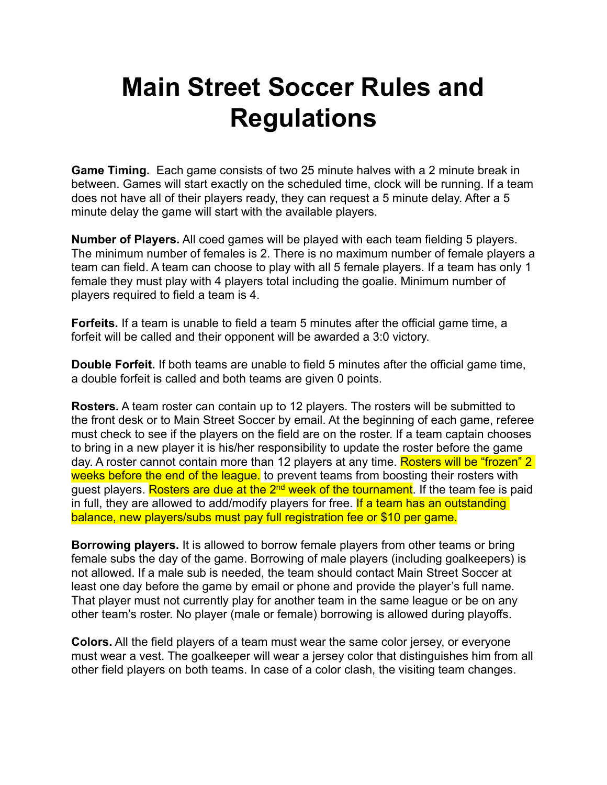## **Main Street Soccer Rules and Regulations**

**Game Timing.** Each game consists of two 25 minute halves with a 2 minute break in between. Games will start exactly on the scheduled time, clock will be running. If a team does not have all of their players ready, they can request a 5 minute delay. After a 5 minute delay the game will start with the available players.

**Number of Players.** All coed games will be played with each team fielding 5 players. The minimum number of females is 2. There is no maximum number of female players a team can field. A team can choose to play with all 5 female players. If a team has only 1 female they must play with 4 players total including the goalie. Minimum number of players required to field a team is 4.

**Forfeits.** If a team is unable to field a team 5 minutes after the official game time, a forfeit will be called and their opponent will be awarded a 3:0 victory.

**Double Forfeit.** If both teams are unable to field 5 minutes after the official game time, a double forfeit is called and both teams are given 0 points.

**Rosters.** A team roster can contain up to 12 players. The rosters will be submitted to the front desk or to Main Street Soccer by email. At the beginning of each game, referee must check to see if the players on the field are on the roster. If a team captain chooses to bring in a new player it is his/her responsibility to update the roster before the game day. A roster cannot contain more than 12 players at any time. Rosters will be "frozen" 2 weeks before the end of the league. to prevent teams from boosting their rosters with guest players. Rosters are due at the 2<sup>nd</sup> week of the tournament. If the team fee is paid in full, they are allowed to add/modify players for free. If a team has an outstanding balance, new players/subs must pay full registration fee or \$10 per game.

**Borrowing players.** It is allowed to borrow female players from other teams or bring female subs the day of the game. Borrowing of male players (including goalkeepers) is not allowed. If a male sub is needed, the team should contact Main Street Soccer at least one day before the game by email or phone and provide the player's full name. That player must not currently play for another team in the same league or be on any other team's roster. No player (male or female) borrowing is allowed during playoffs.

**Colors.** All the field players of a team must wear the same color jersey, or everyone must wear a vest. The goalkeeper will wear a jersey color that distinguishes him from all other field players on both teams. In case of a color clash, the visiting team changes.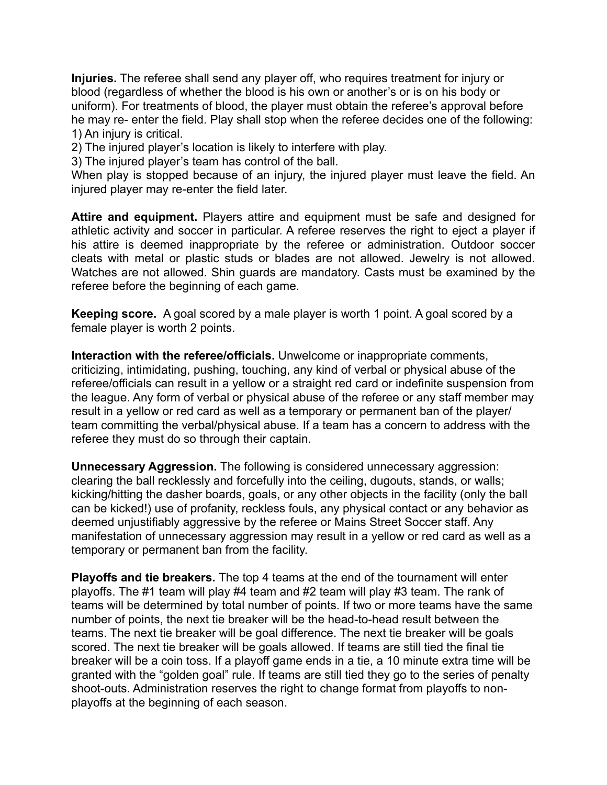**Injuries.** The referee shall send any player off, who requires treatment for injury or blood (regardless of whether the blood is his own or another's or is on his body or uniform). For treatments of blood, the player must obtain the referee's approval before he may re- enter the field. Play shall stop when the referee decides one of the following: 1) An injury is critical.

2) The injured player's location is likely to interfere with play.

3) The injured player's team has control of the ball.

When play is stopped because of an injury, the injured player must leave the field. An injured player may re-enter the field later.

**Attire and equipment.** Players attire and equipment must be safe and designed for athletic activity and soccer in particular. A referee reserves the right to eject a player if his attire is deemed inappropriate by the referee or administration. Outdoor soccer cleats with metal or plastic studs or blades are not allowed. Jewelry is not allowed. Watches are not allowed. Shin guards are mandatory. Casts must be examined by the referee before the beginning of each game.

**Keeping score.** A goal scored by a male player is worth 1 point. A goal scored by a female player is worth 2 points.

**Interaction with the referee/officials.** Unwelcome or inappropriate comments, criticizing, intimidating, pushing, touching, any kind of verbal or physical abuse of the referee/officials can result in a yellow or a straight red card or indefinite suspension from the league. Any form of verbal or physical abuse of the referee or any staff member may result in a yellow or red card as well as a temporary or permanent ban of the player/ team committing the verbal/physical abuse. If a team has a concern to address with the referee they must do so through their captain.

**Unnecessary Aggression.** The following is considered unnecessary aggression: clearing the ball recklessly and forcefully into the ceiling, dugouts, stands, or walls; kicking/hitting the dasher boards, goals, or any other objects in the facility (only the ball can be kicked!) use of profanity, reckless fouls, any physical contact or any behavior as deemed unjustifiably aggressive by the referee or Mains Street Soccer staff. Any manifestation of unnecessary aggression may result in a yellow or red card as well as a temporary or permanent ban from the facility.

**Playoffs and tie breakers.** The top 4 teams at the end of the tournament will enter playoffs. The #1 team will play #4 team and #2 team will play #3 team. The rank of teams will be determined by total number of points. If two or more teams have the same number of points, the next tie breaker will be the head-to-head result between the teams. The next tie breaker will be goal difference. The next tie breaker will be goals scored. The next tie breaker will be goals allowed. If teams are still tied the final tie breaker will be a coin toss. If a playoff game ends in a tie, a 10 minute extra time will be granted with the "golden goal" rule. If teams are still tied they go to the series of penalty shoot-outs. Administration reserves the right to change format from playoffs to nonplayoffs at the beginning of each season.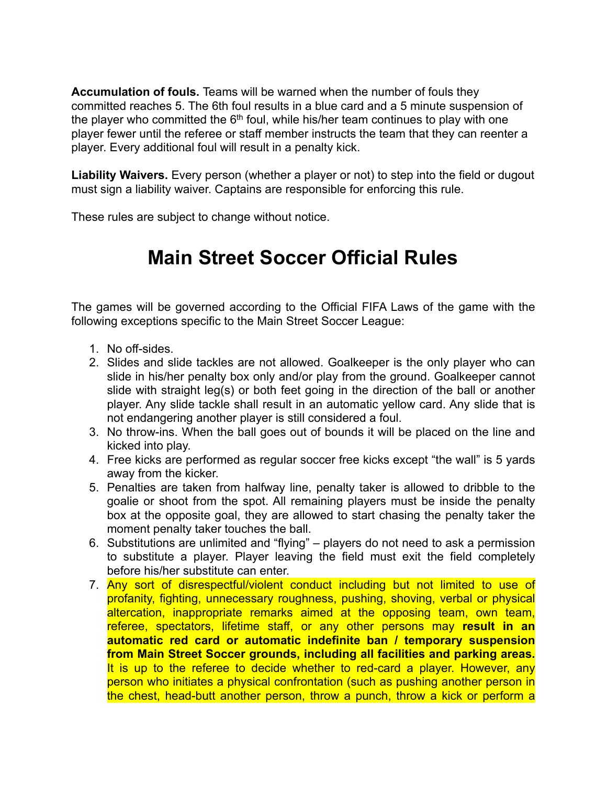**Accumulation of fouls.** Teams will be warned when the number of fouls they committed reaches 5. The 6th foul results in a blue card and a 5 minute suspension of the player who committed the  $6<sup>th</sup>$  foul, while his/her team continues to play with one player fewer until the referee or staff member instructs the team that they can reenter a player. Every additional foul will result in a penalty kick.

**Liability Waivers.** Every person (whether a player or not) to step into the field or dugout must sign a liability waiver. Captains are responsible for enforcing this rule.

These rules are subject to change without notice.

## **Main Street Soccer Official Rules**

The games will be governed according to the Official FIFA Laws of the game with the following exceptions specific to the Main Street Soccer League:

- 1. No off-sides.
- 2. Slides and slide tackles are not allowed. Goalkeeper is the only player who can slide in his/her penalty box only and/or play from the ground. Goalkeeper cannot slide with straight leg(s) or both feet going in the direction of the ball or another player. Any slide tackle shall result in an automatic yellow card. Any slide that is not endangering another player is still considered a foul.
- 3. No throw-ins. When the ball goes out of bounds it will be placed on the line and kicked into play.
- 4. Free kicks are performed as regular soccer free kicks except "the wall" is 5 yards away from the kicker.
- 5. Penalties are taken from halfway line, penalty taker is allowed to dribble to the goalie or shoot from the spot. All remaining players must be inside the penalty box at the opposite goal, they are allowed to start chasing the penalty taker the moment penalty taker touches the ball.
- 6. Substitutions are unlimited and "flying" players do not need to ask a permission to substitute a player. Player leaving the field must exit the field completely before his/her substitute can enter.
- 7. Any sort of disrespectful/violent conduct including but not limited to use of profanity, fighting, unnecessary roughness, pushing, shoving, verbal or physical altercation, inappropriate remarks aimed at the opposing team, own team, referee, spectators, lifetime staff, or any other persons may **result in an automatic red card or automatic indefinite ban / temporary suspension from Main Street Soccer grounds, including all facilities and parking areas.** It is up to the referee to decide whether to red-card a player. However, any person who initiates a physical confrontation (such as pushing another person in the chest, head-butt another person, throw a punch, throw a kick or perform a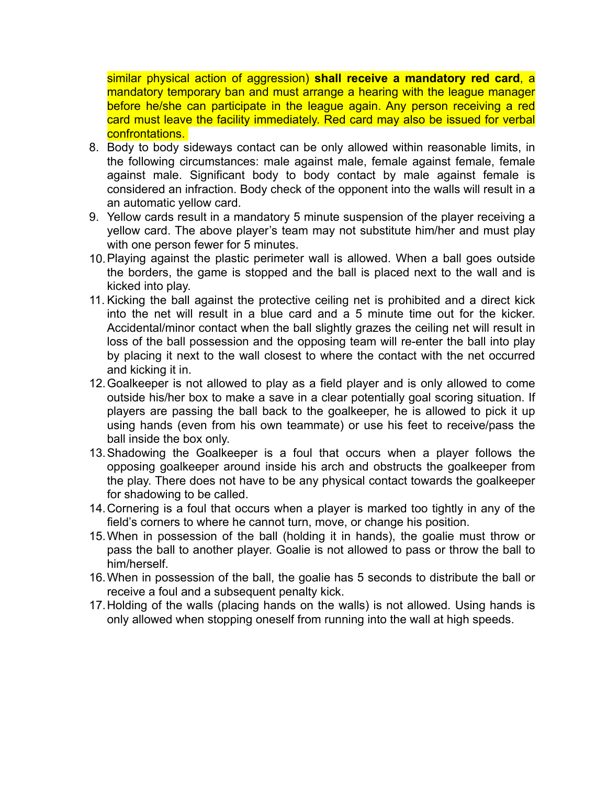similar physical action of aggression) **shall receive a mandatory red card**, a mandatory temporary ban and must arrange a hearing with the league manager before he/she can participate in the league again. Any person receiving a red card must leave the facility immediately. Red card may also be issued for verbal confrontations.

- 8. Body to body sideways contact can be only allowed within reasonable limits, in the following circumstances: male against male, female against female, female against male. Significant body to body contact by male against female is considered an infraction. Body check of the opponent into the walls will result in a an automatic yellow card.
- 9. Yellow cards result in a mandatory 5 minute suspension of the player receiving a yellow card. The above player's team may not substitute him/her and must play with one person fewer for 5 minutes.
- 10.Playing against the plastic perimeter wall is allowed. When a ball goes outside the borders, the game is stopped and the ball is placed next to the wall and is kicked into play.
- 11. Kicking the ball against the protective ceiling net is prohibited and a direct kick into the net will result in a blue card and a 5 minute time out for the kicker. Accidental/minor contact when the ball slightly grazes the ceiling net will result in loss of the ball possession and the opposing team will re-enter the ball into play by placing it next to the wall closest to where the contact with the net occurred and kicking it in.
- 12.Goalkeeper is not allowed to play as a field player and is only allowed to come outside his/her box to make a save in a clear potentially goal scoring situation. If players are passing the ball back to the goalkeeper, he is allowed to pick it up using hands (even from his own teammate) or use his feet to receive/pass the ball inside the box only.
- 13.Shadowing the Goalkeeper is a foul that occurs when a player follows the opposing goalkeeper around inside his arch and obstructs the goalkeeper from the play. There does not have to be any physical contact towards the goalkeeper for shadowing to be called.
- 14.Cornering is a foul that occurs when a player is marked too tightly in any of the field's corners to where he cannot turn, move, or change his position.
- 15.When in possession of the ball (holding it in hands), the goalie must throw or pass the ball to another player. Goalie is not allowed to pass or throw the ball to him/herself.
- 16.When in possession of the ball, the goalie has 5 seconds to distribute the ball or receive a foul and a subsequent penalty kick.
- 17.Holding of the walls (placing hands on the walls) is not allowed. Using hands is only allowed when stopping oneself from running into the wall at high speeds.